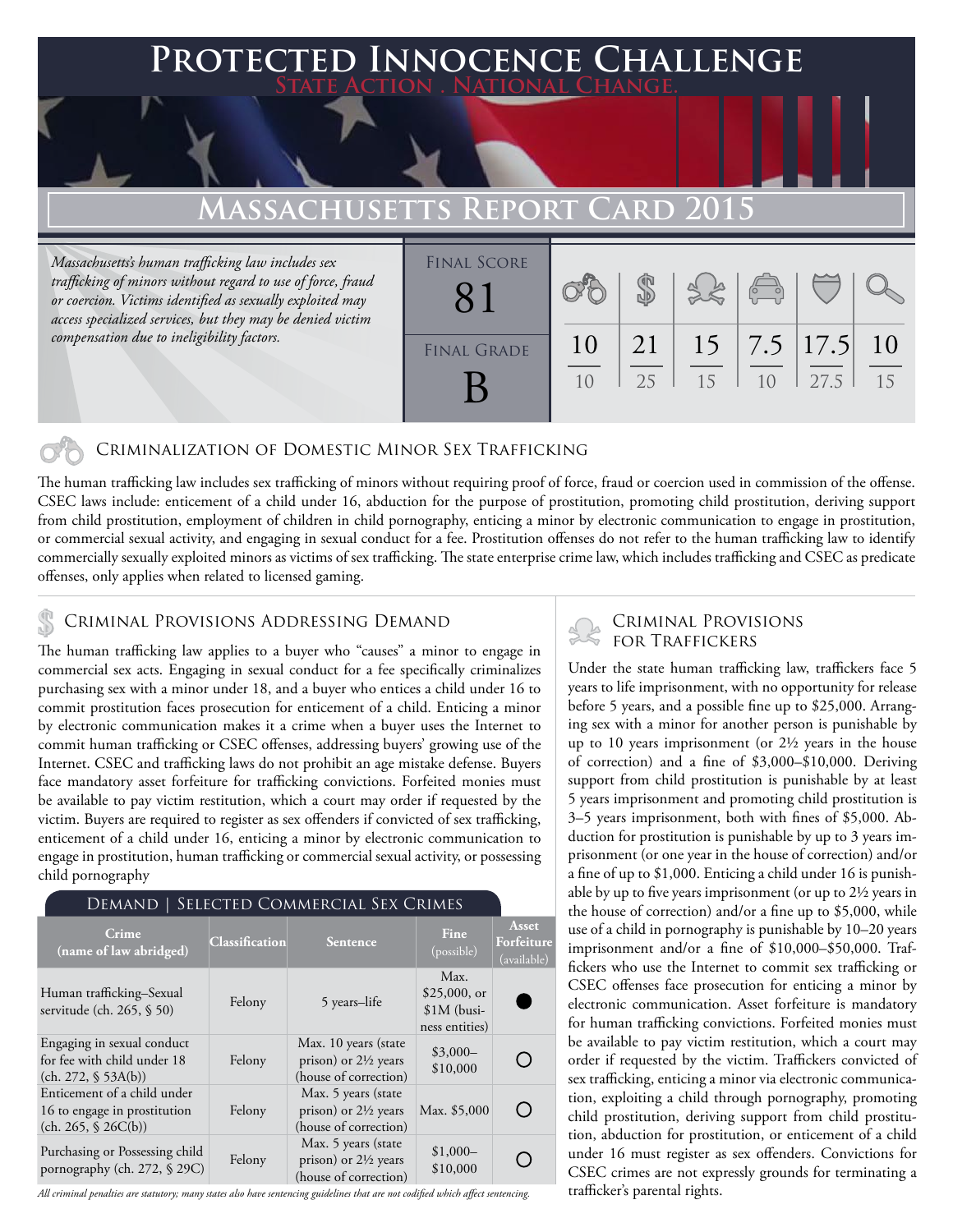# **Protected Innocence Challenge State Action . National Change. Massachusetts Report Card 2015**

*Massachusetts's human trafficking law includes sex trafficking of minors without regard to use of force, fraud or coercion. Victims identified as sexually exploited may access specialized services, but they may be denied victim compensation due to ineligibility factors.*

| <b>FINAL SCORE</b> |    |    |    | $\sqrt{2}$ |                   |     |
|--------------------|----|----|----|------------|-------------------|-----|
| <b>FINAL GRADE</b> | 10 | 21 |    |            | $15$   7.5   17.5 | -10 |
|                    | 10 | 25 | 15 | 10         | 27.5              | 15  |

### Criminalization of Domestic Minor Sex Trafficking

The human trafficking law includes sex trafficking of minors without requiring proof of force, fraud or coercion used in commission of the offense. CSEC laws include: enticement of a child under 16, abduction for the purpose of prostitution, promoting child prostitution, deriving support from child prostitution, employment of children in child pornography, enticing a minor by electronic communication to engage in prostitution, or commercial sexual activity, and engaging in sexual conduct for a fee. Prostitution offenses do not refer to the human trafficking law to identify commercially sexually exploited minors as victims of sex trafficking. The state enterprise crime law, which includes trafficking and CSEC as predicate offenses, only applies when related to licensed gaming.

## CRIMINAL PROVISIONS ADDRESSING DEMAND<br>FOR TRAFFICKERS

The human trafficking law applies to a buyer who "causes" a minor to engage in commercial sex acts. Engaging in sexual conduct for a fee specifically criminalizes purchasing sex with a minor under 18, and a buyer who entices a child under 16 to commit prostitution faces prosecution for enticement of a child. Enticing a minor by electronic communication makes it a crime when a buyer uses the Internet to commit human trafficking or CSEC offenses, addressing buyers' growing use of the Internet. CSEC and trafficking laws do not prohibit an age mistake defense. Buyers face mandatory asset forfeiture for trafficking convictions. Forfeited monies must be available to pay victim restitution, which a court may order if requested by the victim. Buyers are required to register as sex offenders if convicted of sex trafficking, enticement of a child under 16, enticing a minor by electronic communication to engage in prostitution, human trafficking or commercial sexual activity, or possessing child pornography

| SELECTED COMMERCIAL SEX CRIMES<br>Demand                                           |                |                                                                                  |                                                          |                                    |  |  |  |
|------------------------------------------------------------------------------------|----------------|----------------------------------------------------------------------------------|----------------------------------------------------------|------------------------------------|--|--|--|
| Crime<br>(name of law abridged)                                                    | Classification | <b>Sentence</b>                                                                  | Fine<br>(possible)                                       | Asset<br>Forfeiture<br>(available) |  |  |  |
| Human trafficking–Sexual<br>servitude (ch. 265, § 50)                              | Felony         | 5 years-life                                                                     | Max.<br>$$25,000$ , or<br>$$1M$ (busi-<br>ness entities) |                                    |  |  |  |
| Engaging in sexual conduct<br>for fee with child under 18<br>(ch. 272, § 53A(b))   | Felony         | Max. 10 years (state<br>prison) or $2\frac{1}{2}$ years<br>(house of correction) | $$3,000-$<br>\$10,000                                    |                                    |  |  |  |
| Enticement of a child under<br>16 to engage in prostitution<br>(ch. 265, § 26C(b)) | Felony         | Max. 5 years (state<br>prison) or $2\frac{1}{2}$ years<br>(house of correction)  | Max. \$5,000                                             |                                    |  |  |  |
| Purchasing or Possessing child<br>pornography (ch. 272, § 29C)                     | Felony         | Max. 5 years (state<br>prison) or $2\frac{1}{2}$ years<br>(house of correction)  | $$1,000-$<br>\$10,000                                    |                                    |  |  |  |

*All criminal penalties are statutory; many states also have sentencing guidelines that are not codified which affect sentencing.* 

# Criminal Provisions

Under the state human trafficking law, traffickers face 5 years to life imprisonment, with no opportunity for release before 5 years, and a possible fine up to \$25,000. Arranging sex with a minor for another person is punishable by up to 10 years imprisonment (or 2½ years in the house of correction) and a fine of \$3,000–\$10,000. Deriving support from child prostitution is punishable by at least 5 years imprisonment and promoting child prostitution is 3–5 years imprisonment, both with fines of \$5,000. Abduction for prostitution is punishable by up to 3 years imprisonment (or one year in the house of correction) and/or a fine of up to \$1,000. Enticing a child under 16 is punishable by up to five years imprisonment (or up to 2½ years in the house of correction) and/or a fine up to \$5,000, while use of a child in pornography is punishable by 10–20 years imprisonment and/or a fine of \$10,000–\$50,000. Traffickers who use the Internet to commit sex trafficking or CSEC offenses face prosecution for enticing a minor by electronic communication. Asset forfeiture is mandatory for human trafficking convictions. Forfeited monies must be available to pay victim restitution, which a court may order if requested by the victim. Traffickers convicted of sex trafficking, enticing a minor via electronic communication, exploiting a child through pornography, promoting child prostitution, deriving support from child prostitution, abduction for prostitution, or enticement of a child under 16 must register as sex offenders. Convictions for CSEC crimes are not expressly grounds for terminating a trafficker's parental rights.